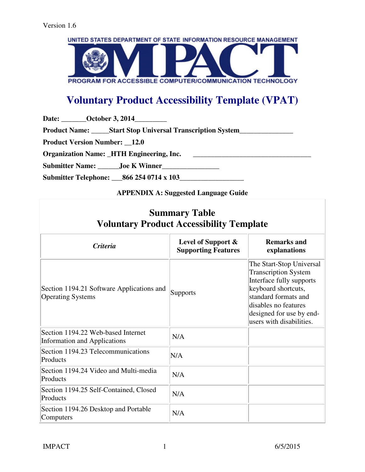

# **Voluntary Product Accessibility Template (VPAT)**

Date: **\_\_\_\_\_\_\_October 3, 2014** \_\_\_\_\_\_\_\_

Product Name: \_\_\_\_\_Start Stop Universal Transcription System \_\_\_\_\_\_\_\_\_\_\_\_\_\_\_\_\_\_\_

**Product Version Number: \_\_12.0** 

**Organization Name:** HTH Engineering, Inc.

**Submitter Name: \_\_\_\_\_\_Joe K Winner\_\_\_\_\_\_\_\_\_\_\_\_\_\_\_\_** 

**Submitter Telephone: \_\_\_866 254 0714 x 103\_\_\_\_\_\_\_\_\_\_\_\_\_\_\_\_\_\_** 

## **APPENDIX A: Suggested Language Guide**

| <b>Summary Table</b><br><b>Voluntary Product Accessibility Template</b>   |                                                  |                                                                                                                                                                                                                    |
|---------------------------------------------------------------------------|--------------------------------------------------|--------------------------------------------------------------------------------------------------------------------------------------------------------------------------------------------------------------------|
| <b>Criteria</b>                                                           | Level of Support &<br><b>Supporting Features</b> | <b>Remarks and</b><br>explanations                                                                                                                                                                                 |
| Section 1194.21 Software Applications and<br><b>Operating Systems</b>     | <b>Supports</b>                                  | The Start-Stop Universal<br><b>Transcription System</b><br>Interface fully supports<br>keyboard shortcuts,<br>standard formats and<br>disables no features<br>designed for use by end-<br>users with disabilities. |
| Section 1194.22 Web-based Internet<br><b>Information and Applications</b> | N/A                                              |                                                                                                                                                                                                                    |
| Section 1194.23 Telecommunications<br>Products                            | N/A                                              |                                                                                                                                                                                                                    |
| Section 1194.24 Video and Multi-media<br>Products                         | N/A                                              |                                                                                                                                                                                                                    |
| Section 1194.25 Self-Contained, Closed<br>Products                        | N/A                                              |                                                                                                                                                                                                                    |
| Section 1194.26 Desktop and Portable<br>Computers                         | N/A                                              |                                                                                                                                                                                                                    |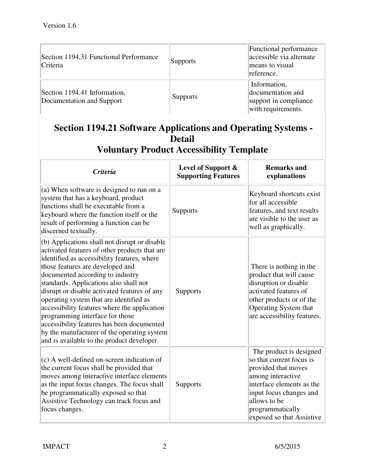| Section 1194.31 Functional Performance<br>Criteria        | Supports        | Functional performance<br>accessible via alternate<br>means to visual<br>reference. |
|-----------------------------------------------------------|-----------------|-------------------------------------------------------------------------------------|
| Section 1194.41 Information,<br>Documentation and Support | <b>Supports</b> | Information,<br>documentation and<br>support in compliance<br>with requirements.    |

# **Section 1194.21 Software Applications and Operating Systems - Detail**

| <b>Criteria</b>                                                                                                                                                                                                                                                                                                                                                                                                                                                                                                                                                                          | Level of Support &<br><b>Supporting Features</b> | <b>Remarks and</b><br>explanations                                                                                                                                                                                       |
|------------------------------------------------------------------------------------------------------------------------------------------------------------------------------------------------------------------------------------------------------------------------------------------------------------------------------------------------------------------------------------------------------------------------------------------------------------------------------------------------------------------------------------------------------------------------------------------|--------------------------------------------------|--------------------------------------------------------------------------------------------------------------------------------------------------------------------------------------------------------------------------|
| (a) When software is designed to run on a<br>system that has a keyboard, product<br>functions shall be executable from a<br>keyboard where the function itself or the<br>result of performing a function can be<br>discerned textually.                                                                                                                                                                                                                                                                                                                                                  | Supports                                         | Keyboard shortcuts exist<br>for all accessible<br>features, and text results<br>are visible to the user as<br>well as graphically.                                                                                       |
| (b) Applications shall not disrupt or disable<br>activated features of other products that are<br>identified as accessibility features, where<br>those features are developed and<br>documented according to industry<br>standards. Applications also shall not<br>disrupt or disable activated features of any<br>operating system that are identified as<br>accessibility features where the application<br>programming interface for those<br>accessibility features has been documented<br>by the manufacturer of the operating system<br>and is available to the product developer. | <b>Supports</b>                                  | There is nothing in the<br>product that will cause<br>disruption or disable<br>activated features of<br>other products or of the<br>Operating System that<br>are accessibility features.                                 |
| (c) A well-defined on-screen indication of<br>the current focus shall be provided that<br>moves among interactive interface elements<br>as the input focus changes. The focus shall<br>be programmatically exposed so that<br>Assistive Technology can track focus and<br>focus changes.                                                                                                                                                                                                                                                                                                 | <b>Supports</b>                                  | The product is designed<br>so that current focus is<br>provided that moves<br>among interactive<br>interface elements as the<br>input focus changes and<br>allows to be<br>programmatically<br>exposed so that Assistive |

**Voluntary Product Accessibility Template**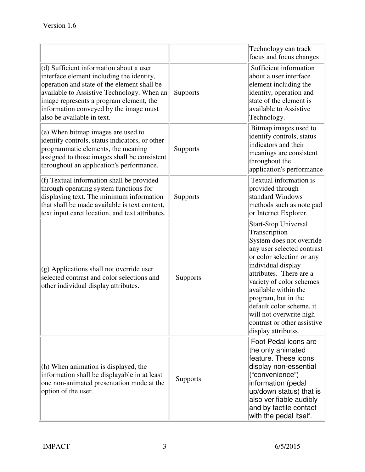|                                                                                                                                                                                                                                                                                                      |                 | Technology can track<br>focus and focus changes                                                                                                                                                                                                                                                                                                                               |
|------------------------------------------------------------------------------------------------------------------------------------------------------------------------------------------------------------------------------------------------------------------------------------------------------|-----------------|-------------------------------------------------------------------------------------------------------------------------------------------------------------------------------------------------------------------------------------------------------------------------------------------------------------------------------------------------------------------------------|
| (d) Sufficient information about a user<br>interface element including the identity,<br>operation and state of the element shall be<br>available to Assistive Technology. When an<br>image represents a program element, the<br>information conveyed by the image must<br>also be available in text. | Supports        | Sufficient information<br>about a user interface<br>element including the<br>identity, operation and<br>state of the element is<br>available to Assistive<br>Technology.                                                                                                                                                                                                      |
| (e) When bitmap images are used to<br>identify controls, status indicators, or other<br>programmatic elements, the meaning<br>assigned to those images shall be consistent<br>throughout an application's performance.                                                                               | Supports        | Bitmap images used to<br>identify controls, status<br>indicators and their<br>meanings are consistent<br>throughout the<br>application's performance                                                                                                                                                                                                                          |
| (f) Textual information shall be provided<br>through operating system functions for<br>displaying text. The minimum information<br>that shall be made available is text content,<br>text input caret location, and text attributes.                                                                  | Supports        | Textual information is<br>provided through<br>standard Windows<br>methods such as note pad<br>or Internet Explorer.                                                                                                                                                                                                                                                           |
| $(g)$ Applications shall not override user<br>selected contrast and color selections and<br>other individual display attributes.                                                                                                                                                                     | <b>Supports</b> | <b>Start-Stop Universal</b><br>Transcription<br>System does not override<br>any user selected contrast<br>or color selection or any<br>individual display<br>attributes. There are a<br>variety of color schemes<br>available within the<br>program, but in the<br>default color scheme, it<br>will not overwrite high-<br>contrast or other assistive<br>display attributss. |
| (h) When animation is displayed, the<br>information shall be displayable in at least<br>one non-animated presentation mode at the<br>option of the user.                                                                                                                                             | Supports        | Foot Pedal icons are<br>the only animated<br>feature. These icons<br>display non-essential<br>("convenience")<br>information (pedal<br>up/down status) that is<br>also verifiable audibly<br>and by tactile contact<br>with the pedal itself.                                                                                                                                 |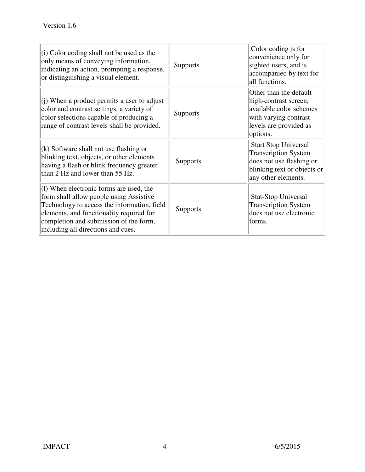| $\vert$ (i) Color coding shall not be used as the<br>only means of conveying information,<br>indicating an action, prompting a response,<br>or distinguishing a visual element.                                                                                 | <b>Supports</b> | Color coding is for<br>convenience only for<br>sighted users, and is<br>accompanied by text for<br>all functions.                            |
|-----------------------------------------------------------------------------------------------------------------------------------------------------------------------------------------------------------------------------------------------------------------|-----------------|----------------------------------------------------------------------------------------------------------------------------------------------|
| (i) When a product permits a user to adjust<br>color and contrast settings, a variety of<br>color selections capable of producing a<br>range of contrast levels shall be provided.                                                                              | <b>Supports</b> | Other than the default<br>high-contrast screen,<br>available color schemes<br>with varying contrast<br>levels are provided as<br>options.    |
| $(k)$ Software shall not use flashing or<br>blinking text, objects, or other elements<br>having a flash or blink frequency greater<br>than 2 Hz and lower than 55 Hz.                                                                                           | <b>Supports</b> | <b>Start Stop Universal</b><br><b>Transcription System</b><br>does not use flashing or<br>blinking text or objects or<br>any other elements. |
| $(1)$ When electronic forms are used, the<br>form shall allow people using Assistive<br>Technology to access the information, field<br>elements, and functionality required for<br>completion and submission of the form,<br>including all directions and cues. | <b>Supports</b> | <b>Stat-Stop Universal</b><br><b>Transcription System</b><br>does not use electronic<br>forms.                                               |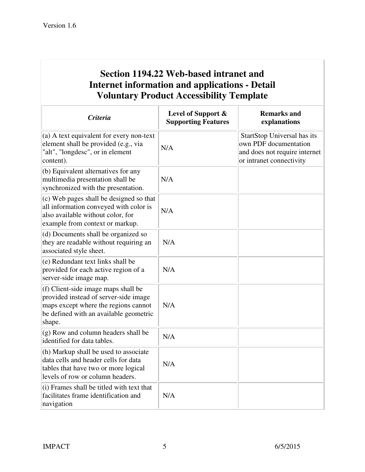# **Section 1194.22 Web-based intranet and Internet information and applications - Detail Voluntary Product Accessibility Template**

| <b>Criteria</b>                                                                                                                                                          | Level of Support &<br><b>Supporting Features</b> | <b>Remarks and</b><br>explanations                                                                                |
|--------------------------------------------------------------------------------------------------------------------------------------------------------------------------|--------------------------------------------------|-------------------------------------------------------------------------------------------------------------------|
| (a) A text equivalent for every non-text<br>element shall be provided (e.g., via<br>"alt", "longdesc", or in element<br>content).                                        | N/A                                              | StartStop Universal has its<br>own PDF documentation<br>and does not require internet<br>or intranet connectivity |
| (b) Equivalent alternatives for any<br>multimedia presentation shall be<br>synchronized with the presentation.                                                           | N/A                                              |                                                                                                                   |
| (c) Web pages shall be designed so that<br>all information conveyed with color is<br>also available without color, for<br>example from context or markup.                | N/A                                              |                                                                                                                   |
| (d) Documents shall be organized so<br>they are readable without requiring an<br>associated style sheet.                                                                 | N/A                                              |                                                                                                                   |
| (e) Redundant text links shall be<br>provided for each active region of a<br>server-side image map.                                                                      | N/A                                              |                                                                                                                   |
| (f) Client-side image maps shall be<br>provided instead of server-side image<br>maps except where the regions cannot<br>be defined with an available geometric<br>shape. | N/A                                              |                                                                                                                   |
| (g) Row and column headers shall be<br>identified for data tables.                                                                                                       | N/A                                              |                                                                                                                   |
| (h) Markup shall be used to associate<br>data cells and header cells for data<br>tables that have two or more logical<br>levels of row or column headers.                | N/A                                              |                                                                                                                   |
| (i) Frames shall be titled with text that<br>facilitates frame identification and<br>navigation                                                                          | N/A                                              |                                                                                                                   |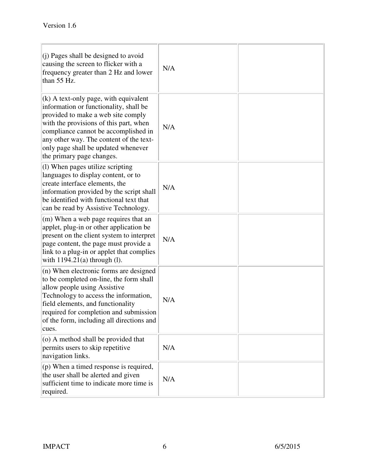| $(i)$ Pages shall be designed to avoid<br>causing the screen to flicker with a<br>frequency greater than 2 Hz and lower<br>than 55 Hz.                                                                                                                                                                                         | N/A |  |
|--------------------------------------------------------------------------------------------------------------------------------------------------------------------------------------------------------------------------------------------------------------------------------------------------------------------------------|-----|--|
| $\vert$ (k) A text-only page, with equivalent<br>information or functionality, shall be<br>provided to make a web site comply<br>with the provisions of this part, when<br>compliance cannot be accomplished in<br>any other way. The content of the text-<br>only page shall be updated whenever<br>the primary page changes. | N/A |  |
| $(1)$ When pages utilize scripting<br>languages to display content, or to<br>create interface elements, the<br>information provided by the script shall<br>be identified with functional text that<br>can be read by Assistive Technology.                                                                                     | N/A |  |
| (m) When a web page requires that an<br>applet, plug-in or other application be<br>present on the client system to interpret<br>page content, the page must provide a<br>link to a plug-in or applet that complies<br>with $1194.21(a)$ through (1).                                                                           | N/A |  |
| $(n)$ When electronic forms are designed<br>to be completed on-line, the form shall<br>allow people using Assistive<br>Technology to access the information,<br>field elements, and functionality<br>required for completion and submission<br>of the form, including all directions and<br>cues.                              | N/A |  |
| $(0)$ A method shall be provided that<br>permits users to skip repetitive<br>navigation links.                                                                                                                                                                                                                                 | N/A |  |
| $($ p) When a timed response is required,<br>the user shall be alerted and given<br>sufficient time to indicate more time is<br>required.                                                                                                                                                                                      | N/A |  |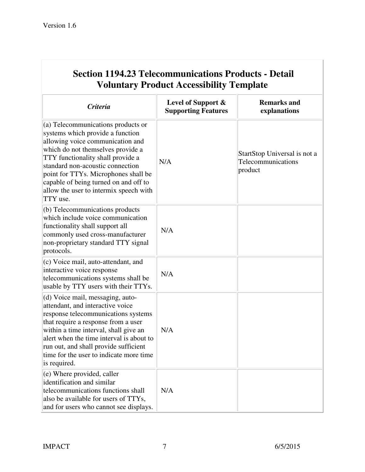| <b>Voluntary Product Accessibility Template</b>                                                                                                                                                                                                                                                                                                                 |                                                  |                                                               |
|-----------------------------------------------------------------------------------------------------------------------------------------------------------------------------------------------------------------------------------------------------------------------------------------------------------------------------------------------------------------|--------------------------------------------------|---------------------------------------------------------------|
| <b>Criteria</b>                                                                                                                                                                                                                                                                                                                                                 | Level of Support &<br><b>Supporting Features</b> | <b>Remarks and</b><br>explanations                            |
| (a) Telecommunications products or<br>systems which provide a function<br>allowing voice communication and<br>which do not themselves provide a<br>TTY functionality shall provide a<br>standard non-acoustic connection<br>point for TTYs. Microphones shall be<br>capable of being turned on and off to<br>allow the user to intermix speech with<br>TTY use. | N/A                                              | StartStop Universal is not a<br>Telecommunications<br>product |
| (b) Telecommunications products<br>which include voice communication<br>functionality shall support all<br>commonly used cross-manufacturer<br>non-proprietary standard TTY signal<br>protocols.                                                                                                                                                                | N/A                                              |                                                               |
| (c) Voice mail, auto-attendant, and<br>interactive voice response<br>telecommunications systems shall be<br>usable by TTY users with their TTYs.                                                                                                                                                                                                                | N/A                                              |                                                               |
| (d) Voice mail, messaging, auto-<br>attendant, and interactive voice<br>response telecommunications systems<br>that require a response from a user<br>within a time interval, shall give an<br>alert when the time interval is about to<br>run out, and shall provide sufficient<br>time for the user to indicate more time<br>is required.                     | N/A                                              |                                                               |
| $(e)$ Where provided, caller<br>identification and similar<br>telecommunications functions shall<br>also be available for users of TTYs,<br>and for users who cannot see displays.                                                                                                                                                                              | N/A                                              |                                                               |

# **Section 1194.23 Telecommunications Products - Detail**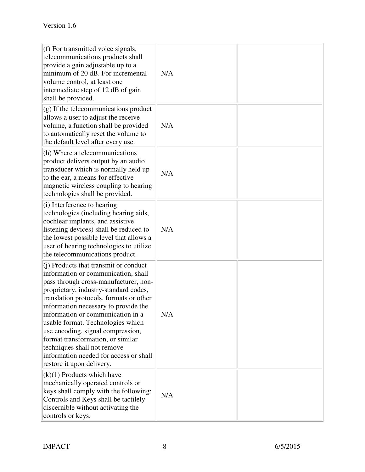| $(f)$ For transmitted voice signals,<br>telecommunications products shall<br>provide a gain adjustable up to a<br>minimum of 20 dB. For incremental<br>volume control, at least one<br>intermediate step of 12 dB of gain<br>shall be provided.                                                                                                                                                                                                                                                               | N/A |  |
|---------------------------------------------------------------------------------------------------------------------------------------------------------------------------------------------------------------------------------------------------------------------------------------------------------------------------------------------------------------------------------------------------------------------------------------------------------------------------------------------------------------|-----|--|
| $\left  \right $ (g) If the telecommunications product<br>allows a user to adjust the receive<br>volume, a function shall be provided<br>to automatically reset the volume to<br>the default level after every use.                                                                                                                                                                                                                                                                                           | N/A |  |
| (h) Where a telecommunications<br>product delivers output by an audio<br>transducer which is normally held up<br>to the ear, a means for effective<br>magnetic wireless coupling to hearing<br>technologies shall be provided.                                                                                                                                                                                                                                                                                | N/A |  |
| $(i)$ Interference to hearing<br>technologies (including hearing aids,<br>cochlear implants, and assistive<br>listening devices) shall be reduced to<br>the lowest possible level that allows a<br>user of hearing technologies to utilize<br>the telecommunications product.                                                                                                                                                                                                                                 | N/A |  |
| $(i)$ Products that transmit or conduct<br>information or communication, shall<br>pass through cross-manufacturer, non-<br>proprietary, industry-standard codes,<br>translation protocols, formats or other<br>information necessary to provide the<br>information or communication in a<br>usable format. Technologies which<br>use encoding, signal compression,<br>format transformation, or similar<br>techniques shall not remove<br>information needed for access or shall<br>restore it upon delivery. | N/A |  |
| $(k)(1)$ Products which have<br>mechanically operated controls or<br>keys shall comply with the following:<br>Controls and Keys shall be tactilely<br>discernible without activating the<br>controls or keys.                                                                                                                                                                                                                                                                                                 | N/A |  |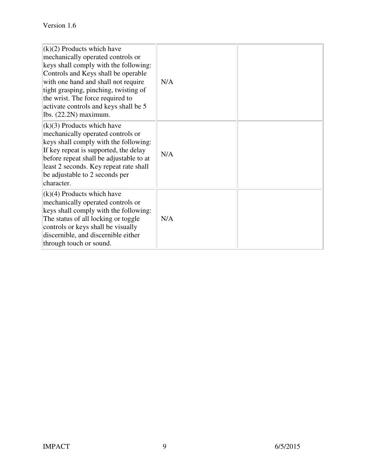| $(k)(2)$ Products which have<br>mechanically operated controls or<br>keys shall comply with the following:<br>Controls and Keys shall be operable<br>with one hand and shall not require<br>tight grasping, pinching, twisting of<br>the wrist. The force required to<br>activate controls and keys shall be 5<br>lbs. $(22.2N)$ maximum. | N/A |  |
|-------------------------------------------------------------------------------------------------------------------------------------------------------------------------------------------------------------------------------------------------------------------------------------------------------------------------------------------|-----|--|
| $(k)(3)$ Products which have<br>mechanically operated controls or<br>keys shall comply with the following:<br>If key repeat is supported, the delay<br>before repeat shall be adjustable to at<br>least 2 seconds. Key repeat rate shall<br>be adjustable to 2 seconds per<br>character.                                                  | N/A |  |
| $(k)(4)$ Products which have<br>mechanically operated controls or<br>keys shall comply with the following:<br>The status of all locking or toggle<br>controls or keys shall be visually<br>discernible, and discernible either<br>through touch or sound.                                                                                 | N/A |  |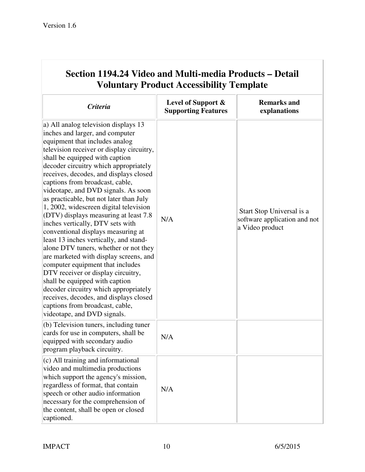| <b>Voluntary Product Accessibility Template</b>                                                                                                                                                                                                                                                                                                                                                                                                                                                                                                                                                                                                                                                                                                                                                                                                                                                                                                               |                                                  |                                                                              |
|---------------------------------------------------------------------------------------------------------------------------------------------------------------------------------------------------------------------------------------------------------------------------------------------------------------------------------------------------------------------------------------------------------------------------------------------------------------------------------------------------------------------------------------------------------------------------------------------------------------------------------------------------------------------------------------------------------------------------------------------------------------------------------------------------------------------------------------------------------------------------------------------------------------------------------------------------------------|--------------------------------------------------|------------------------------------------------------------------------------|
| <b>Criteria</b>                                                                                                                                                                                                                                                                                                                                                                                                                                                                                                                                                                                                                                                                                                                                                                                                                                                                                                                                               | Level of Support &<br><b>Supporting Features</b> | <b>Remarks and</b><br>explanations                                           |
| a) All analog television displays 13<br>inches and larger, and computer<br>equipment that includes analog<br>television receiver or display circuitry,<br>shall be equipped with caption<br>decoder circuitry which appropriately<br>receives, decodes, and displays closed<br>captions from broadcast, cable,<br>videotape, and DVD signals. As soon<br>as practicable, but not later than July<br>1, 2002, widescreen digital television<br>(DTV) displays measuring at least $7.8$<br>inches vertically, DTV sets with<br>conventional displays measuring at<br>least 13 inches vertically, and stand-<br>alone DTV tuners, whether or not they<br>are marketed with display screens, and<br>computer equipment that includes<br>DTV receiver or display circuitry,<br>shall be equipped with caption<br>decoder circuitry which appropriately<br>receives, decodes, and displays closed<br>captions from broadcast, cable,<br>videotape, and DVD signals. | N/A                                              | Start Stop Universal is a<br>software application and not<br>a Video product |
| $(b)$ Television tuners, including tuner<br>cards for use in computers, shall be<br>equipped with secondary audio<br>program playback circuitry.                                                                                                                                                                                                                                                                                                                                                                                                                                                                                                                                                                                                                                                                                                                                                                                                              | N/A                                              |                                                                              |
| $(c)$ All training and informational<br>video and multimedia productions<br>which support the agency's mission,<br>regardless of format, that contain<br>speech or other audio information<br>necessary for the comprehension of<br>the content, shall be open or closed<br>captioned.                                                                                                                                                                                                                                                                                                                                                                                                                                                                                                                                                                                                                                                                        | N/A                                              |                                                                              |

# **Section 1194.24 Video and Multi-media Products – Detail**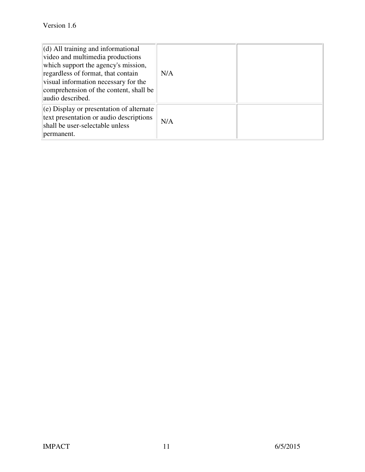| $\vert$ (d) All training and informational<br>video and multimedia productions<br>which support the agency's mission,<br>regardless of format, that contain<br>visual information necessary for the<br>comprehension of the content, shall be<br>audio described. | N/A |  |
|-------------------------------------------------------------------------------------------------------------------------------------------------------------------------------------------------------------------------------------------------------------------|-----|--|
| $\vert$ (e) Display or presentation of alternate<br>text presentation or audio descriptions<br>shall be user-selectable unless<br>permanent.                                                                                                                      | N/A |  |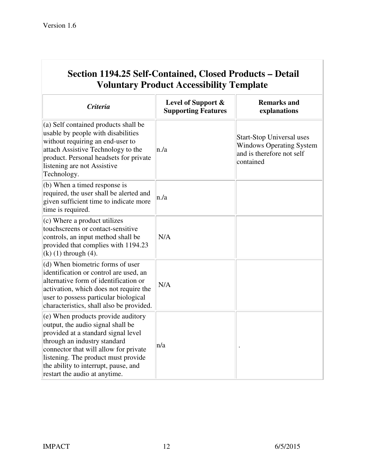| <b>Voluntary Product Accessibility Template</b>                                                                                                                                                                                                                                                         |                                                  |                                                                                                               |
|---------------------------------------------------------------------------------------------------------------------------------------------------------------------------------------------------------------------------------------------------------------------------------------------------------|--------------------------------------------------|---------------------------------------------------------------------------------------------------------------|
| <b>Criteria</b>                                                                                                                                                                                                                                                                                         | Level of Support &<br><b>Supporting Features</b> | <b>Remarks and</b><br>explanations                                                                            |
| (a) Self contained products shall be<br>usable by people with disabilities<br>without requiring an end-user to<br>attach Assistive Technology to the<br>product. Personal headsets for private<br>listening are not Assistive<br>Technology.                                                            | n/a                                              | <b>Start-Stop Universal uses</b><br><b>Windows Operating System</b><br>and is therefore not self<br>contained |
| (b) When a timed response is<br>required, the user shall be alerted and<br>given sufficient time to indicate more<br>time is required.                                                                                                                                                                  | n/a                                              |                                                                                                               |
| (c) Where a product utilizes<br>touchscreens or contact-sensitive<br>controls, an input method shall be<br>provided that complies with 1194.23<br>$(k)$ (1) through (4).                                                                                                                                | N/A                                              |                                                                                                               |
| (d) When biometric forms of user<br>identification or control are used, an<br>alternative form of identification or<br>activation, which does not require the<br>user to possess particular biological<br>characteristics, shall also be provided.                                                      | N/A                                              |                                                                                                               |
| (e) When products provide auditory<br>output, the audio signal shall be<br>provided at a standard signal level<br>through an industry standard<br>connector that will allow for private<br>listening. The product must provide<br>the ability to interrupt, pause, and<br>restart the audio at anytime. | n/a                                              |                                                                                                               |

# **Section 1194.25 Self-Contained, Closed Products – Detail**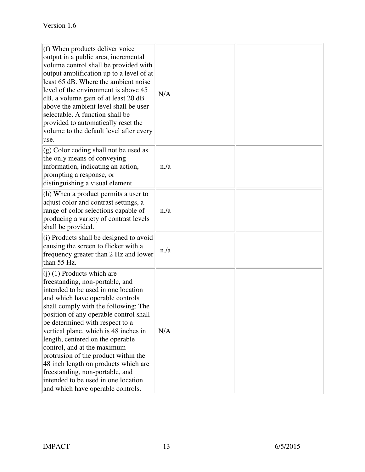| $(f)$ When products deliver voice<br>output in a public area, incremental<br>volume control shall be provided with<br>output amplification up to a level of at<br>least 65 dB. Where the ambient noise<br>level of the environment is above 45<br>dB, a volume gain of at least 20 dB<br>above the ambient level shall be user<br>selectable. A function shall be<br>provided to automatically reset the<br>volume to the default level after every<br>luse.                                                                                                               | N/A |  |
|----------------------------------------------------------------------------------------------------------------------------------------------------------------------------------------------------------------------------------------------------------------------------------------------------------------------------------------------------------------------------------------------------------------------------------------------------------------------------------------------------------------------------------------------------------------------------|-----|--|
| $\vert$ (g) Color coding shall not be used as<br>the only means of conveying<br>information, indicating an action,<br>prompting a response, or<br>distinguishing a visual element.                                                                                                                                                                                                                                                                                                                                                                                         | n/a |  |
| (h) When a product permits a user to<br>adjust color and contrast settings, a<br>range of color selections capable of<br>producing a variety of contrast levels<br>shall be provided.                                                                                                                                                                                                                                                                                                                                                                                      | n/a |  |
| $(i)$ Products shall be designed to avoid<br>causing the screen to flicker with a<br>frequency greater than 2 Hz and lower<br>than $55$ Hz.                                                                                                                                                                                                                                                                                                                                                                                                                                | n/a |  |
| $(1)$ (1) Products which are<br>freestanding, non-portable, and<br>intended to be used in one location<br>and which have operable controls<br>shall comply with the following: The<br>position of any operable control shall<br>be determined with respect to a<br>vertical plane, which is 48 inches in<br>length, centered on the operable<br>control, and at the maximum<br>protrusion of the product within the<br>48 inch length on products which are<br>freestanding, non-portable, and<br>intended to be used in one location<br>and which have operable controls. | N/A |  |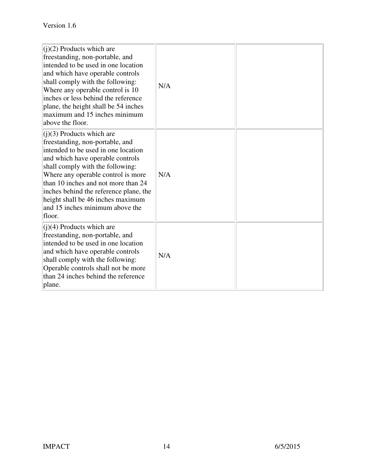| $(i)(2)$ Products which are<br>freestanding, non-portable, and<br>intended to be used in one location<br>and which have operable controls<br>shall comply with the following:<br>Where any operable control is 10<br>inches or less behind the reference<br>plane, the height shall be 54 inches<br>maximum and 15 inches minimum<br>above the floor.                                  | N/A |  |
|----------------------------------------------------------------------------------------------------------------------------------------------------------------------------------------------------------------------------------------------------------------------------------------------------------------------------------------------------------------------------------------|-----|--|
| $(i)(3)$ Products which are<br>freestanding, non-portable, and<br>intended to be used in one location<br>and which have operable controls<br>shall comply with the following:<br>Where any operable control is more<br>than 10 inches and not more than 24<br>inches behind the reference plane, the<br>height shall be 46 inches maximum<br>and 15 inches minimum above the<br>floor. | N/A |  |
| $(i)(4)$ Products which are<br>freestanding, non-portable, and<br>intended to be used in one location<br>and which have operable controls<br>shall comply with the following:<br>Operable controls shall not be more<br>than 24 inches behind the reference<br>plane.                                                                                                                  | N/A |  |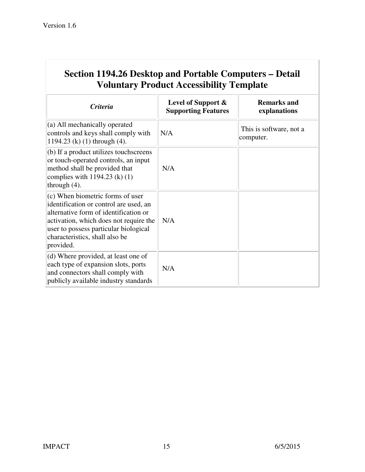| Section 1194.26 Desktop and Portable Computers – Detail<br><b>Voluntary Product Accessibility Template</b>                                                                                                                                              |                                                     |                                      |
|---------------------------------------------------------------------------------------------------------------------------------------------------------------------------------------------------------------------------------------------------------|-----------------------------------------------------|--------------------------------------|
| <b>Criteria</b>                                                                                                                                                                                                                                         | Level of Support $\&$<br><b>Supporting Features</b> | <b>Remarks and</b><br>explanations   |
| $(a)$ All mechanically operated<br>controls and keys shall comply with<br>1194.23 (k) $(1)$ through $(4)$ .                                                                                                                                             | N/A                                                 | This is software, not a<br>computer. |
| $(b)$ If a product utilizes touch screens<br>or touch-operated controls, an input<br>method shall be provided that<br>complies with $1194.23$ (k) (1)<br>through $(4)$ .                                                                                | N/A                                                 |                                      |
| $(c)$ When biometric forms of user<br>identification or control are used, an<br>alternative form of identification or<br>activation, which does not require the<br>user to possess particular biological<br>characteristics, shall also be<br>provided. | N/A                                                 |                                      |
| $(d)$ Where provided, at least one of<br>each type of expansion slots, ports<br>and connectors shall comply with<br>publicly available industry standards                                                                                               | N/A                                                 |                                      |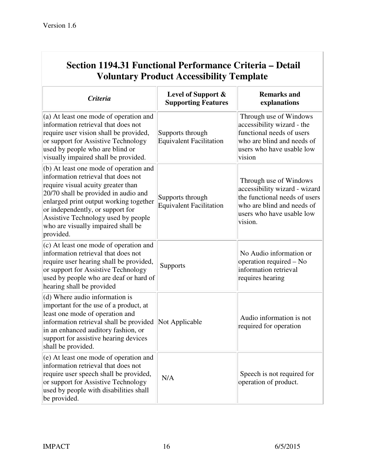| Section 1194.31 Functional Performance Criteria – Detail<br><b>Voluntary Product Accessibility Template</b>                                                                                                                                                                                                                         |                                                    |                                                                                                                                                                |
|-------------------------------------------------------------------------------------------------------------------------------------------------------------------------------------------------------------------------------------------------------------------------------------------------------------------------------------|----------------------------------------------------|----------------------------------------------------------------------------------------------------------------------------------------------------------------|
| <b>Criteria</b>                                                                                                                                                                                                                                                                                                                     | Level of Support &<br><b>Supporting Features</b>   | <b>Remarks and</b><br>explanations                                                                                                                             |
| (a) At least one mode of operation and<br>information retrieval that does not<br>require user vision shall be provided,<br>or support for Assistive Technology<br>used by people who are blind or<br>visually impaired shall be provided.                                                                                           | Supports through<br><b>Equivalent Facilitation</b> | Through use of Windows<br>accessibility wizard - the<br>functional needs of users<br>who are blind and needs of<br>users who have usable low<br>vision         |
| (b) At least one mode of operation and<br>information retrieval that does not<br>require visual acuity greater than<br>20/70 shall be provided in audio and<br>enlarged print output working together<br>or independently, or support for<br>Assistive Technology used by people<br>who are visually impaired shall be<br>provided. | Supports through<br><b>Equivalent Facilitation</b> | Through use of Windows<br>accessibility wizard - wizard<br>the functional needs of users<br>who are blind and needs of<br>users who have usable low<br>vision. |
| (c) At least one mode of operation and<br>information retrieval that does not<br>require user hearing shall be provided,<br>or support for Assistive Technology<br>used by people who are deaf or hard of<br>hearing shall be provided                                                                                              | <b>Supports</b>                                    | No Audio information or<br>operation required – No<br>information retrieval<br>requires hearing                                                                |
| (d) Where audio information is<br>important for the use of a product, at<br>least one mode of operation and<br>information retrieval shall be provided<br>in an enhanced auditory fashion, or<br>support for assistive hearing devices<br>shall be provided.                                                                        | Not Applicable                                     | Audio information is not<br>required for operation                                                                                                             |
| (e) At least one mode of operation and<br>information retrieval that does not<br>require user speech shall be provided,<br>or support for Assistive Technology<br>used by people with disabilities shall<br>be provided.                                                                                                            | N/A                                                | Speech is not required for<br>operation of product.                                                                                                            |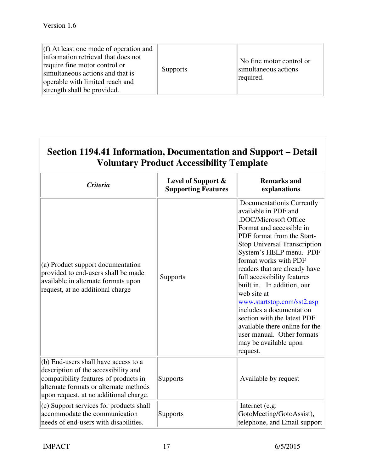| $(f)$ At least one mode of operation and<br>information retrieval that does not<br>require fine motor control or<br>simultaneous actions and that is<br>operable with limited reach and<br>strength shall be provided. | <b>Supports</b> | No fine motor control or<br>simultaneous actions<br>required. |
|------------------------------------------------------------------------------------------------------------------------------------------------------------------------------------------------------------------------|-----------------|---------------------------------------------------------------|
|------------------------------------------------------------------------------------------------------------------------------------------------------------------------------------------------------------------------|-----------------|---------------------------------------------------------------|

| Section 1194.41 Information, Documentation and Support – Detail |
|-----------------------------------------------------------------|
| <b>Voluntary Product Accessibility Template</b>                 |

| <i>Criteria</i>                                                                                                                                                                                           | Level of Support &<br><b>Supporting Features</b> | <b>Remarks and</b><br>explanations                                                                                                                                                                                                                                                                                                                                                                                                                                                                                                         |
|-----------------------------------------------------------------------------------------------------------------------------------------------------------------------------------------------------------|--------------------------------------------------|--------------------------------------------------------------------------------------------------------------------------------------------------------------------------------------------------------------------------------------------------------------------------------------------------------------------------------------------------------------------------------------------------------------------------------------------------------------------------------------------------------------------------------------------|
| (a) Product support documentation<br>provided to end-users shall be made<br>available in alternate formats upon<br>request, at no additional charge                                                       | <b>Supports</b>                                  | Documentationis Currently<br>available in PDF and<br>.DOC/Microsoft Office<br>Format and accessible in<br>PDF format from the Start-<br><b>Stop Universal Transcription</b><br>System's HELP menu. PDF<br>format works with PDF<br>readers that are already have<br>full accessibility features<br>built in. In addition, our<br>web site at<br>www.startstop.com/sst2.asp<br>includes a documentation<br>section with the latest PDF<br>available there online for the<br>user manual. Other formats<br>may be available upon<br>request. |
| (b) End-users shall have access to a<br>description of the accessibility and<br>compatibility features of products in<br>alternate formats or alternate methods<br>upon request, at no additional charge. | <b>Supports</b>                                  | Available by request                                                                                                                                                                                                                                                                                                                                                                                                                                                                                                                       |
| (c) Support services for products shall<br>accommodate the communication<br>needs of end-users with disabilities.                                                                                         | Supports                                         | Internet (e.g.<br>GotoMeeting/GotoAssist),<br>telephone, and Email support                                                                                                                                                                                                                                                                                                                                                                                                                                                                 |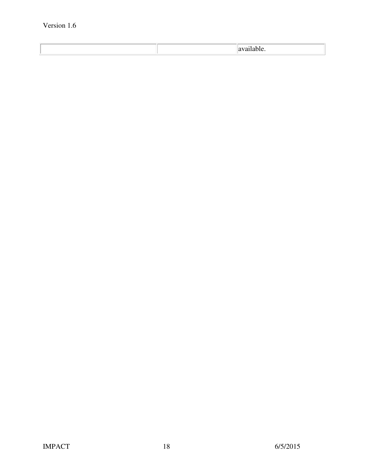## Version 1.6